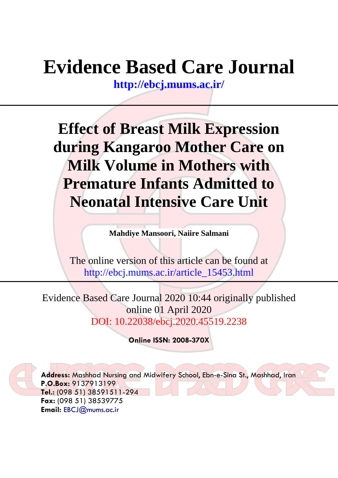# **Evidence Based Care Journal**

**<http://ebcj.mums.ac.ir/>**

**Effect of Breast Milk Expression during Kangaroo Mother Care on Milk Volume in Mothers with Premature Infants Admitted to Neonatal Intensive Care Unit**

**Mahdiye Mansoori, Naiire Salmani**

The online version of this article can be found at http://ebcj.mums.ac.ir/article\_15453.html

Evidence Based Care Journal 2020 10:44 originally published online 01 April 2020 DOI: 10.22038/ebcj.2020.45519.2238

**Online ISSN: 2008-370X**

**Address:** Mashhad Nursing and Midwifery School, Ebn-e-Sina St., Mashhad, Iran **P.O.Box:** 9137913199 **Tel.:** (098 51) 38591511-294 **Fax:** (098 51) 38539775 **Email:** [EBCJ@mums.ac.ir](mailto:EBCJ@mums.ac.ir)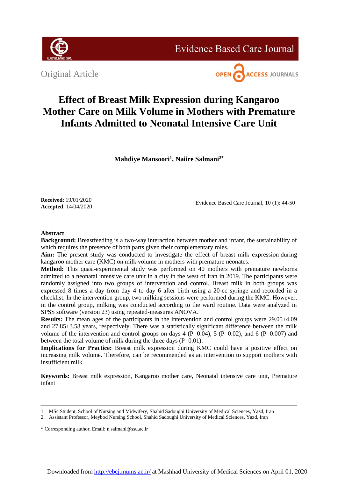

**Evidence Based Care Journal** 

Original Article



# **Effect of Breast Milk Expression during Kangaroo Mother Care on Milk Volume in Mothers with Premature Infants Admitted to Neonatal Intensive Care Unit**

**Mahdiye Mansoori<sup>1</sup> , Naiire Salmani2\***

**Received**: 19/01/2020 **Accepted**: 14/04/2020

Evidence Based Care Journal, 10 (1): 44-50

# **Abstract**

**Background:** Breastfeeding is a two-way interaction between mother and infant, the sustainability of which requires the presence of both parts given their complementary roles.

**Aim:** The present study was conducted to investigate the effect of breast milk expression during kangaroo mother care (KMC) on milk volume in mothers with premature neonates.

**Method:** This quasi-experimental study was performed on 40 mothers with premature newborns admitted to a neonatal intensive care unit in a city in the west of Iran in 2019. The participants were randomly assigned into two groups of intervention and control. Breast milk in both groups was expressed 8 times a day from day 4 to day 6 after birth using a 20-cc syringe and recorded in a checklist. In the intervention group, two milking sessions were performed during the KMC. However, in the control group, milking was conducted according to the ward routine. Data were analyzed in SPSS software (version 23) using repeated-measures ANOVA.

**Results:** The mean ages of the participants in the intervention and control groups were 29.05 $\pm$ 4.09 and 27.85±3.58 years, respectively. There was a statistically significant difference between the milk volume of the intervention and control groups on days  $4$  (P=0.04),  $5$  (P=0.02), and  $6$  (P=0.007) and between the total volume of milk during the three days (P=0.01).

**Implications for Practice:** Breast milk expression during KMC could have a positive effect on increasing milk volume. Therefore, can be recommended as an intervention to support mothers with insufficient milk.

**Keywords:** Breast milk expression, Kangaroo mother care, Neonatal intensive care unit, Premature infant

<sup>1.</sup> MSc Student, School of Nursing and Midwifery, Shahid Sadoughi University of Medical Sciences, Yazd, Iran

<sup>2.</sup> Assistant Professor, Meybod Nursing School, Shahid Sadoughi University of Medical Sciences, Yazd, Iran

<sup>\*</sup> Corresponding author, Email: n.salmani@ssu.ac.ir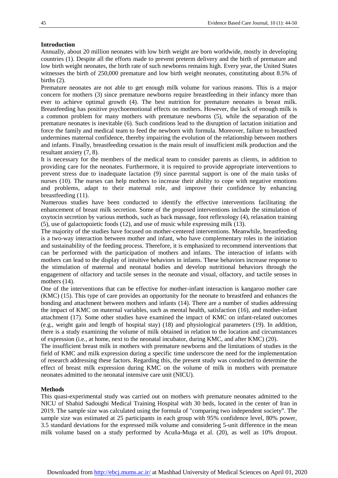# **Introduction**

Annually, about 20 million neonates with low birth weight are born worldwide, mostly in developing countries (1). Despite all the efforts made to prevent preterm delivery and the birth of premature and low birth weight neonates, the birth rate of such newborns remains high. Every year, the United States witnesses the birth of 250,000 premature and low birth weight neonates, constituting about 8.5% of births (2).

Premature neonates are not able to get enough milk volume for various reasons. This is a major concern for mothers (3) since premature newborns require breastfeeding in their infancy more than ever to achieve optimal growth (4). The best nutrition for premature neonates is breast milk. Breastfeeding has positive psychoemotional effects on mothers. However, the lack of enough milk is a common problem for many mothers with premature newborns (5), while the separation of the premature neonates is inevitable (6). Such conditions lead to the disruption of lactation initiation and force the family and medical team to feed the newborn with formula. Moreover, failure to breastfeed undermines maternal confidence, thereby impairing the evolution of the relationship between mothers and infants. Finally, breastfeeding cessation is the main result of insufficient milk production and the resultant anxiety (7, 8).

It is necessary for the members of the medical team to consider parents as clients, in addition to providing care for the neonates. Furthermore, it is required to provide appropriate interventions to prevent stress due to inadequate lactation (9) since parental support is one of the main tasks of nurses (10). The nurses can help mothers to increase their ability to cope with negative emotions and problems, adapt to their maternal role, and improve their confidence by enhancing breastfeeding (11).

Numerous studies have been conducted to identify the effective interventions facilitating the enhancement of breast milk secretion. Some of the proposed interventions include the stimulation of oxytocin secretion by various methods, such as back massage, foot reflexology (4), relaxation training (5), use of galactopoietic foods (12), and use of music while expressing milk (13).

The majority of the studies have focused on mother-centered interventions. Meanwhile, breastfeeding is a two-way interaction between mother and infant, who have complementary roles in the initiation and sustainability of the feeding process. Therefore, it is emphasized to recommend interventions that can be performed with the participation of mothers and infants. The interaction of infants with mothers can lead to the display of intuitive behaviors in infants. These behaviors increase response to the stimulation of maternal and neonatal bodies and develop nutritional behaviors through the engagement of olfactory and tactile senses in the neonate and visual, olfactory, and tactile senses in mothers  $(14)$ .

One of the interventions that can be effective for mother-infant interaction is kangaroo mother care (KMC) (15). This type of care provides an opportunity for the neonate to breastfeed and enhances the bonding and attachment between mothers and infants (14). There are a number of studies addressing the impact of KMC on maternal variables, such as mental health, satisfaction (16), and mother-infant attachment (17). Some other studies have examined the impact of KMC on infant-related outcomes (e.g., weight gain and length of hospital stay) (18) and physiological parameters (19). In addition, there is a study examining the volume of milk obtained in relation to the location and circumstances of expression (i.e., at home, next to the neonatal incubator, during KMC, and after KMC) (20).

The insufficient breast milk in mothers with premature newborns and the limitations of studies in the field of KMC and milk expression during a specific time underscore the need for the implementation of research addressing these factors. Regarding this, the present study was conducted to determine the effect of breast milk expression during KMC on the volume of milk in mothers with premature neonates admitted to the neonatal intensive care unit (NICU).

# **Methods**

This quasi-experimental study was carried out on mothers with premature neonates admitted to the NICU of Shahid Sadoughi Medical Training Hospital with 30 beds, located in the center of Iran in 2019. The sample size was calculated using the formula of "comparing two independent society". The sample size was estimated at 25 participants in each group with 95% confidence level, 80% power, 3.5 standard deviations for the expressed milk volume and considering 5-unit difference in the mean milk volume based on a study performed by Acuña-Muga et al. (20), as well as 10% dropout.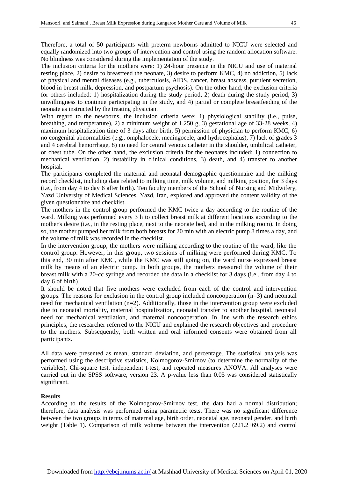Therefore, a total of 50 participants with preterm newborns admitted to NICU were selected and equally randomized into two groups of intervention and control using the random allocation software. No blindness was considered during the implementation of the study.

The inclusion criteria for the mothers were: 1) 24-hour presence in the NICU and use of maternal resting place, 2) desire to breastfeed the neonate, 3) desire to perform KMC, 4) no addiction, 5) lack of physical and mental diseases (e.g., tuberculosis, AIDS, cancer, breast abscess, purulent secretion, blood in breast milk, depression, and postpartum psychosis). On the other hand, the exclusion criteria for others included: 1) hospitalization during the study period, 2) death during the study period, 3) unwillingness to continue participating in the study, and 4) partial or complete breastfeeding of the neonate as instructed by the treating physician.

With regard to the newborns, the inclusion criteria were: 1) physiological stability (i.e., pulse, breathing, and temperature), 2) a minimum weight of 1,250 g, 3) gestational age of 33-28 weeks, 4) maximum hospitalization time of 3 days after birth, 5) permission of physician to perform KMC, 6) no congenital abnormalities (e.g., omphalocele, meningocele, and hydrocephalus), 7) lack of grades 3 and 4 cerebral hemorrhage, 8) no need for central venous catheter in the shoulder, umbilical catheter, or chest tube. On the other hand, the exclusion criteria for the neonates included: 1) connection to mechanical ventilation, 2) instability in clinical conditions, 3) death, and 4) transfer to another hospital.

The participants completed the maternal and neonatal demographic questionnaire and the milking record checklist, including data related to milking time, milk volume, and milking position, for 3 days (i.e., from day 4 to day 6 after birth). Ten faculty members of the School of Nursing and Midwifery, Yazd University of Medical Sciences, Yazd, Iran, explored and approved the content validity of the given questionnaire and checklist.

The mothers in the control group performed the KMC twice a day according to the routine of the ward. Milking was performed every 3 h to collect breast milk at different locations according to the mother's desire (i.e., in the resting place, next to the neonate bed, and in the milking room). In doing so, the mother pumped her milk from both breasts for 20 min with an electric pump 8 times a day, and the volume of milk was recorded in the checklist.

In the intervention group, the mothers were milking according to the routine of the ward, like the control group. However, in this group, two sessions of milking were performed during KMC. To this end, 30 min after KMC, while the KMC was still going on, the ward nurse expressed breast milk by means of an electric pump. In both groups, the mothers measured the volume of their breast milk with a 20-cc syringe and recorded the data in a checklist for 3 days (i.e., from day 4 to day 6 of birth).

It should be noted that five mothers were excluded from each of the control and intervention groups. The reasons for exclusion in the control group included noncooperation (n=3) and neonatal need for mechanical ventilation (n=2). Additionally, those in the intervention group were excluded due to neonatal mortality, maternal hospitalization, neonatal transfer to another hospital, neonatal need for mechanical ventilation, and maternal noncooperation. In line with the research ethics principles, the researcher referred to the NICU and explained the research objectives and procedure to the mothers. Subsequently, both written and oral informed consents were obtained from all participants.

All data were presented as mean, standard deviation, and percentage. The statistical analysis was performed using the descriptive statistics, Kolmogorov-Smirnov (to determine the normality of the variables), Chi-square test, independent t-test, and repeated measures ANOVA. All analyses were carried out in the SPSS software, version 23. A p-value less than 0.05 was considered statistically significant.

# **Results**

According to the results of the Kolmogorov-Smirnov test, the data had a normal distribution; therefore, data analysis was performed using parametric tests. There was no significant difference between the two groups in terms of maternal age, birth order, neonatal age, neonatal gender, and birth weight (Table 1). Comparison of milk volume between the intervention (221.2±69.2) and control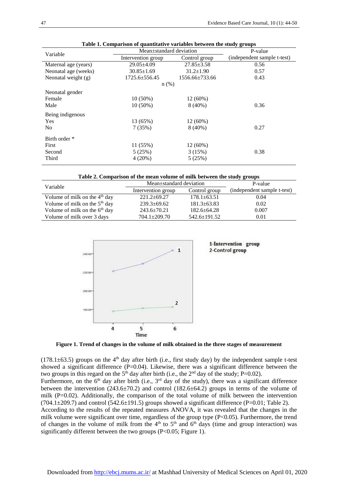| Variable              | Mean±standard deviation | P-value          |                             |
|-----------------------|-------------------------|------------------|-----------------------------|
|                       | Intervention group      | Control group    | (independent sample t-test) |
| Maternal age (years)  | $29.05 \pm 4.09$        | $27.85 \pm 3.58$ | 0.56                        |
| Neonatal age (weeks)  | $30.85 \pm 1.69$        | $31.2 \pm 1.90$  | 0.57                        |
| Neonatal weight $(g)$ | $1725.6 \pm 556.45$     | 1556.66 + 733.66 | 0.43                        |
|                       | $n$ (%)                 |                  |                             |
| Neonatal gender       |                         |                  |                             |
| Female                | $10(50\%)$              | $12(60\%)$       |                             |
| Male                  | $10(50\%)$              | $8(40\%)$        | 0.36                        |
| Being indigenous      |                         |                  |                             |
| <b>Yes</b>            | 13 (65%)                | 12 (60%)         |                             |
| N <sub>o</sub>        | 7(35%)                  | $8(40\%)$        | 0.27                        |
| Birth order *         |                         |                  |                             |
| First                 | 11(55%)                 | $12(60\%)$       |                             |
| Second                | 5(25%)                  | 3(15%)           | 0.38                        |
| Third                 | 4(20%)                  | 5(25%)           |                             |
|                       |                         |                  |                             |

|  |  | Table 1. Comparison of quantitative variables between the study groups |
|--|--|------------------------------------------------------------------------|
|--|--|------------------------------------------------------------------------|

|  | Table 2. Comparison of the mean volume of milk between the study groups |  |  |
|--|-------------------------------------------------------------------------|--|--|
|  |                                                                         |  |  |

| Variable                                  | Mean±standard deviation | P-value            |                             |
|-------------------------------------------|-------------------------|--------------------|-----------------------------|
|                                           | Intervention group      | Control group      | (independent sample t-test) |
| Volume of milk on the $4th$ day           | $221.2+69.27$           | $178.1 \pm 63.51$  | 0.04                        |
| Volume of milk on the 5 <sup>th</sup> day | $239.3+69.62$           | $181.3 \pm 63.83$  | 0.02                        |
| Volume of milk on the $6th$ day           | $243.6 \pm 70.21$       | $182.6 \pm 64.28$  | 0.007                       |
| Volume of milk over 3 days                | $704.1 \pm 209.70$      | $542.6 \pm 191.52$ | 0.01                        |



1-Intervention group 2-Control group

**Figure 1. Trend of changes in the volume of milk obtained in the three stages of measurement**

 $(178.1\pm63.5)$  groups on the 4<sup>th</sup> day after birth (i.e., first study day) by the independent sample t-test showed a significant difference  $(P=0.04)$ . Likewise, there was a significant difference between the two groups in this regard on the  $5<sup>th</sup>$  day after birth (i.e., the  $2<sup>nd</sup>$  day of the study; P=0.02).

Furthermore, on the  $6<sup>th</sup>$  day after birth (i.e.,  $3<sup>rd</sup>$  day of the study), there was a significant difference between the intervention  $(243.6\pm70.2)$  and control  $(182.6\pm64.2)$  groups in terms of the volume of milk (P=0.02). Additionally, the comparison of the total volume of milk between the intervention  $(704.1\pm 209.7)$  and control  $(542.6\pm 191.5)$  groups showed a significant difference (P=0.01; Table 2).

According to the results of the repeated measures ANOVA, it was revealed that the changes in the milk volume were significant over time, regardless of the group type (P<0.05). Furthermore, the trend of changes in the volume of milk from the  $4<sup>th</sup>$  to  $5<sup>th</sup>$  and  $6<sup>th</sup>$  days (time and group interaction) was significantly different between the two groups (P<0.05; Figure 1).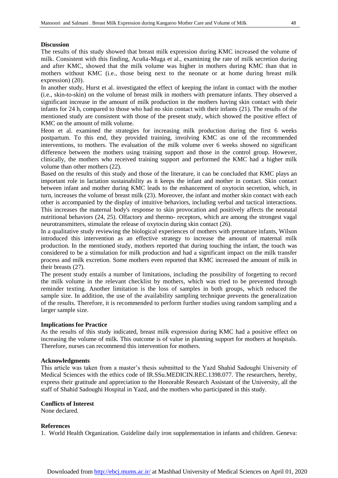# **Discussion**

The results of this study showed that breast milk expression during KMC increased the volume of milk. Consistent with this finding, Acuña-Muga et al., examining the rate of milk secretion during and after KMC, showed that the milk volume was higher in mothers during KMC than that in mothers without KMC (i.e., those being next to the neonate or at home during breast milk expression) (20).

In another study, Hurst et al. investigated the effect of keeping the infant in contact with the mother (i.e., skin-to-skin) on the volume of breast milk in mothers with premature infants. They observed a significant increase in the amount of milk production in the mothers having skin contact with their infants for 24 h, compared to those who had no skin contact with their infants (21). The results of the mentioned study are consistent with those of the present study, which showed the positive effect of KMC on the amount of milk volume.

Heon et al. examined the strategies for increasing milk production during the first 6 weeks postpartum. To this end, they provided training, involving KMC as one of the recommended interventions, to mothers. The evaluation of the milk volume over 6 weeks showed no significant difference between the mothers using training support and those in the control group. However, clinically, the mothers who received training support and performed the KMC had a higher milk volume than other mothers (22).

Based on the results of this study and those of the literature, it can be concluded that KMC plays an important role in lactation sustainability as it keeps the infant and mother in contact. Skin contact between infant and mother during KMC leads to the enhancement of oxytocin secretion, which, in turn, increases the volume of breast milk (23). Moreover, the infant and mother skin contact with each other is accompanied by the display of intuitive behaviors, including verbal and tactical interactions. This increases the maternal body's response to skin provocation and positively affects the neonatal nutritional behaviors (24, 25). Olfactory and thermo- receptors, which are among the strongest vagal neurotransmitters, stimulate the release of oxytocin during skin contact (26).

In a qualitative study reviewing the biological experiences of mothers with premature infants, Wilson introduced this intervention as an effective strategy to increase the amount of maternal milk production. In the mentioned study, mothers reported that during touching the infant, the touch was considered to be a stimulation for milk production and had a significant impact on the milk transfer process and milk excretion. Some mothers even reported that KMC increased the amount of milk in their breasts (27).

The present study entails a number of limitations, including the possibility of forgetting to record the milk volume in the relevant checklist by mothers, which was tried to be prevented through reminder texting. Another limitation is the loss of samples in both groups, which reduced the sample size. In addition, the use of the availability sampling technique prevents the generalization of the results. Therefore, it is recommended to perform further studies using random sampling and a larger sample size.

# **Implications for Practice**

As the results of this study indicated, breast milk expression during KMC had a positive effect on increasing the volume of milk. This outcome is of value in planning support for mothers at hospitals. Therefore, nurses can recommend this intervention for mothers.

# **Acknowledgments**

This article was taken from a master's thesis submitted to the Yazd Shahid Sadoughi University of Medical Sciences with the ethics code of IR.SSu.MEDICIN.REC.1398.077. The researchers, hereby, express their gratitude and appreciation to the Honorable Research Assistant of the University, all the staff of Shahid Sadoughi Hospital in Yazd, and the mothers who participated in this study.

# **Conflicts of Interest**

None declared.

# **References**

1. World Health Organization. Guideline daily iron supplementation in infants and children. Geneva: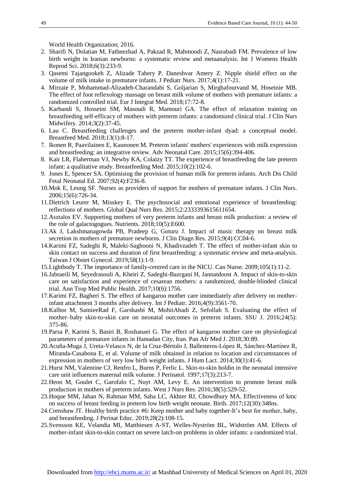World Health Organization; 2016.

- 2. Sharifi N, Dolatian M, Fathnezhad A, Pakzad R, Mahmoodi Z, Nasrabadi FM. Prevalence of low birth weight in Iranian newborns: a systematic review and metaanalysis. Int J Womens Health Reprod Sci. 2018;6(3):233-9.
- 3. Qasemi Tajangookeh Z, Alizade Tahery P, Daneshvar Amery Z. Nipple shield effect on the volume of milk intake in premature infants. J Pediatr Nurs. 2017;4(1):17-21.
- 4. Mirzaie P, Mohammad-Alizadeh-Charandabi S, Goljarian S, Mirghafourvand M, Hoseinie MB. The effect of foot reflexology massage on breast milk volume of mothers with premature infants: a randomized controlled trial. Eur J Integrat Med. 2018;17:72-8.
- 5. Karbandi S, Hosseini SM, Masoudi R, Mamouri GA. The effect of relaxation training on breastfeeding self-efficacy of mothers with preterm infants: a randomized clinical trial. J Clin Nurs Midwifery. 2014;3(2):37-45.
- 6. Lau C. Breastfeeding challenges and the preterm mother-infant dyad: a conceptual model. Breastfeed Med. 2018;13(1):8-17.
- 7. Ikonen R, Paavilainen E, Kaunonen M. Preterm infants' mothers' experiences with milk expression and breastfeeding: an integrative review. Adv Neonatal Care. 2015;15(6):394-406.
- 8. Kair LR, Flaherman VJ, Newby KA, Colaizy TT. The experience of breastfeeding the late preterm infant: a qualitative study. Breastfeeding Med. 2015;10(2):102-6.
- 9. Jones E, Spencer SA. Optimising the provision of human milk for preterm infants. Arch Dis Child Fetal Neonatal Ed. 2007;92(4):F236-8.
- 10.Mok E, Leung SF. Nurses as providers of support for mothers of premature infants. J Clin Nurs. 2006;15(6):726-34.
- 11.Dietrich Leurer M, Misskey E. The psychosocial and emotional experience of breastfeeding: reflections of mothers. Global Qual Nurs Res. 2015;2:2333393615611654.
- 12.Asztalos EV. Supporting mothers of very preterm infants and breast milk production: a review of the role of galactogogues. Nutrients. 2018;10(5):E600.
- 13.Ak J, Lakshmanagowda PB, Pradeep G, Goturu J. Impact of music therapy on breast milk secretion in mothers of premature newborns. J Clin Diagn Res. 2015;9(4):CC04-6.
- 14.Karimi FZ, Sadeghi R, Maleki-Saghooni N, Khadivzadeh T. The effect of mother-infant skin to skin contact on success and duration of first breastfeeding: a systematic review and meta-analysis. Taiwan J Obstet Gynecol. 2019;58(1):1-9.
- 15.Lightbody T. The importance of family-centred care in the NICU. Can Nurse. 2009;105(1):11-2.
- 16.Jabraeili M, Seyedrasouli A, Kheiri Z, Sadeghi-Bazrgani H, Jannatdoost A. Impact of skin-to-skin care on satisfaction and experience of cesarean mothers: a randomized, double-blinded clinical trial. Ann Trop Med Public Health. 2017;10(6):1756.
- 17.Karimi FZ, Bagheri S. The effect of kangaroo mother care immediately after delivery on motherinfant attachment 3 months after delivery. Int J Pediatr. 2016;4(9):3561-70.
- 18.Kalhor M, SamieeRad F, Garshasbi M, MohitAbadi Z, Sefollah S. Evaluating the effect of mother–baby skin-to-skin care on neonatal outcomes in preterm infants. SSU J. 2016;24(5): 375-86.
- 19.Parsa P, Karimi S, Basiri B, Roshanaei G. The effect of kangaroo mother care on physiological parameters of premature infants in Hamadan City, Iran. Pan Afr Med J. 2018;30:89.
- 20.Acuña-Muga J, Ureta-Velasco N, de la Cruz-Bértolo J, Ballesteros-López R, Sánchez-Martínez R, Miranda-Casabona E, et al. Volume of milk obtained in relation to location and circumstances of expression in mothers of very low birth weight infants. J Hum Lact. 2014;30(1):41-6.
- 21.Hurst NM, Valentine CJ, Renfro L, Burns P, Ferlic L. Skin-to-skin holdin in the neonatal intensive care unit influences maternal milk volume. J Perinatol. 1997;17(3):213-7.
- 22.Heon M, Goulet C, Garofalo C, Nuyt AM, Levy E. An intervention to promote breast milk production in mothers of preterm infants. West J Nurs Res. 2016;38(5):529-52.
- 23.Hoque MM, Jahan N, Rahman MM, Saha LC, Akhter RJ, Chowdhury MA. Effectiveness of kmc on success of breast feeding in preterm low birth weight neonate. Birth. 2017;12(30):348ns.
- 24.Crenshaw JT. Healthy birth practice #6: Keep mother and baby together-It's best for mother, baby, and breastfeeding. J Perinat Educ. 2019;28(2):108-15.
- 25.Svensson KE, Velandia MI, Matthiesen A-ST, Welles-Nyström BL, Widström AM. Effects of mother-infant skin-to-skin contact on severe latch-on problems in older infants: a randomized trial.